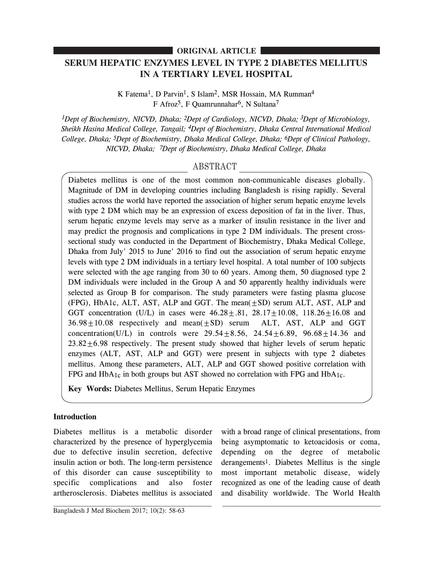# **ORIGINAL ARTICLE**

# **SERUM HEPATIC ENZYMES LEVEL IN TYPE 2 DIABETES MELLITUS IN A TERTIARY LEVEL HOSPITAL**

K Fatema<sup>1</sup>, D Parvin<sup>1</sup>, S Islam<sup>2</sup>, MSR Hossain, MA Rumman<sup>4</sup> F Afroz<sup>5</sup>, F Quamrunnahar<sup>6</sup>, N Sultana<sup>7</sup>

*1Dept of Biochemistry, NICVD, Dhaka; 2Dept of Cardiology, NICVD, Dhaka; 3Dept of Microbiology, Sheikh Hasina Medical College, Tangail; 4Dept of Biochemistry, Dhaka Central International Medical College, Dhaka; 5Dept of Biochemistry, Dhaka Medical College, Dhaka; 6Dept of Clinical Pathology, NICVD, Dhaka; 7Dept of Biochemistry, Dhaka Medical College, Dhaka*

# ABSTRACT

Diabetes mellitus is one of the most common non-communicable diseases globally. Magnitude of DM in developing countries including Bangladesh is rising rapidly. Several studies across the world have reported the association of higher serum hepatic enzyme levels with type 2 DM which may be an expression of excess deposition of fat in the liver. Thus, serum hepatic enzyme levels may serve as a marker of insulin resistance in the liver and may predict the prognosis and complications in type 2 DM individuals. The present crosssectional study was conducted in the Department of Biochemistry, Dhaka Medical College, Dhaka from July' 2015 to June' 2016 to find out the association of serum hepatic enzyme levels with type 2 DM individuals in a tertiary level hospital. A total number of 100 subjects were selected with the age ranging from 30 to 60 years. Among them, 50 diagnosed type 2 DM individuals were included in the Group A and 50 apparently healthy individuals were selected as Group B for comparison. The study parameters were fasting plasma glucose (FPG), HbA1c, ALT, AST, ALP and GGT. The mean(±SD) serum ALT, AST, ALP and GGT concentration (U/L) in cases were  $46.28 \pm .81$ ,  $28.17 \pm 10.08$ ,  $118.26 \pm 16.08$  and  $36.98 \pm 10.08$  respectively and mean( $\pm$ SD) serum ALT, AST, ALP and GGT concentration(U/L) in controls were  $29.54 \pm 8.56$ ,  $24.54 \pm 6.89$ ,  $96.68 \pm 14.36$  and  $23.82\pm6.98$  respectively. The present study showed that higher levels of serum hepatic enzymes (ALT, AST, ALP and GGT) were present in subjects with type 2 diabetes mellitus. Among these parameters, ALT, ALP and GGT showed positive correlation with FPG and  $HbA_1c$  in both groups but AST showed no correlation with FPG and  $HbA_1c$ .

**Key Words:** Diabetes Mellitus, Serum Hepatic Enzymes

## **Introduction**

Diabetes mellitus is a metabolic disorder characterized by the presence of hyperglycemia due to defective insulin secretion, defective insulin action or both. The long-term persistence of this disorder can cause susceptibility to specific complications and also foster artherosclerosis. Diabetes mellitus is associated with a broad range of clinical presentations, from being asymptomatic to ketoacidosis or coma, depending on the degree of metabolic derangements1. Diabetes Mellitus is the single most important metabolic disease, widely recognized as one of the leading cause of death and disability worldwide. The World Health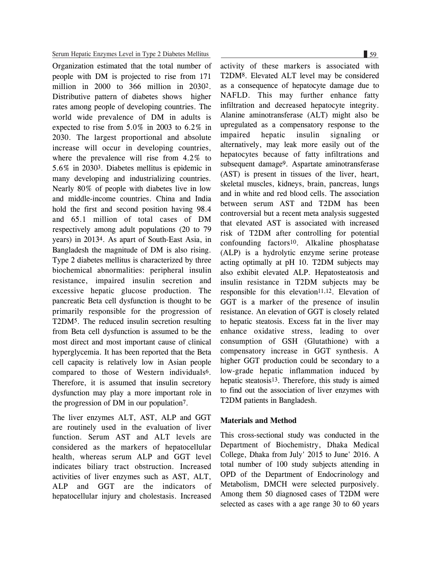#### Serum Hepatic Enzymes Level in Type 2 Diabetes Mellitus 59

Organization estimated that the total number of people with DM is projected to rise from 171 million in 2000 to 366 million in 20302. Distributive pattern of diabetes shows higher rates among people of developing countries. The world wide prevalence of DM in adults is expected to rise from 5.0% in 2003 to 6.2% in 2030. The largest proportional and absolute increase will occur in developing countries, where the prevalence will rise from 4.2% to 5.6% in 20303. Diabetes mellitus is epidemic in many developing and industrializing countries. Nearly 80% of people with diabetes live in low and middle-income countries. China and India hold the first and second position having 98.4 and 65.1 million of total cases of DM respectively among adult populations (20 to 79 years) in 20134. As apart of South-East Asia, in Bangladesh the magnitude of DM is also rising. Type 2 diabetes mellitus is characterized by three biochemical abnormalities: peripheral insulin resistance, impaired insulin secretion and excessive hepatic glucose production. The pancreatic Beta cell dysfunction is thought to be primarily responsible for the progression of T2DM5. The reduced insulin secretion resulting from Beta cell dysfunction is assumed to be the most direct and most important cause of clinical hyperglycemia. It has been reported that the Beta cell capacity is relatively low in Asian people compared to those of Western individuals6. Therefore, it is assumed that insulin secretory dysfunction may play a more important role in the progression of DM in our population7.

The liver enzymes ALT, AST, ALP and GGT are routinely used in the evaluation of liver function. Serum AST and ALT levels are considered as the markers of hepatocellular health, whereas serum ALP and GGT level indicates biliary tract obstruction. Increased activities of liver enzymes such as AST, ALT, ALP and GGT are the indicators of hepatocellular injury and cholestasis. Increased

activity of these markers is associated with T2DM8. Elevated ALT level may be considered as a consequence of hepatocyte damage due to NAFLD. This may further enhance fatty infiltration and decreased hepatocyte integrity. Alanine aminotransferase (ALT) might also be upregulated as a compensatory response to the impaired hepatic insulin signaling or alternatively, may leak more easily out of the hepatocytes because of fatty infiltrations and subsequent damage9. Aspartate aminotransferase (AST) is present in tissues of the liver, heart, skeletal muscles, kidneys, brain, pancreas, lungs and in white and red blood cells. The association between serum AST and T2DM has been controversial but a recent meta analysis suggested that elevated AST is associated with increased risk of T2DM after controlling for potential confounding factors10. Alkaline phosphatase (ALP) is a hydrolytic enzyme serine protease acting optimally at pH 10. T2DM subjects may also exhibit elevated ALP. Hepatosteatosis and insulin resistance in T2DM subjects may be responsible for this elevation<sup>11,12</sup>. Elevation of GGT is a marker of the presence of insulin resistance. An elevation of GGT is closely related to hepatic steatosis. Excess fat in the liver may enhance oxidative stress, leading to over consumption of GSH (Glutathione) with a compensatory increase in GGT synthesis. A higher GGT production could be secondary to a low-grade hepatic inflammation induced by hepatic steatosis13. Therefore, this study is aimed to find out the association of liver enzymes with T2DM patients in Bangladesh.

#### **Materials and Method**

This cross-sectional study was conducted in the Department of Biochemistry, Dhaka Medical College, Dhaka from July' 2015 to June' 2016. A total number of 100 study subjects attending in OPD of the Department of Endocrinology and Metabolism, DMCH were selected purposively. Among them 50 diagnosed cases of T2DM were selected as cases with a age range 30 to 60 years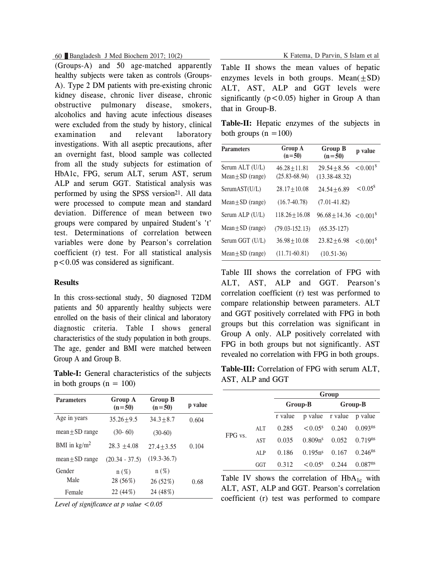60 Bangladesh J Med Biochem 2017; 10(2) K Fatema, D Parvin, S Islam et al

(Groups-A) and 50 age-matched apparently healthy subjects were taken as controls (Groups-A). Type 2 DM patients with pre-existing chronic kidney disease, chronic liver disease, chronic obstructive pulmonary disease, smokers, alcoholics and having acute infectious diseases were excluded from the study by history, clinical examination and relevant laboratory investigations. With all aseptic precautions, after an overnight fast, blood sample was collected from all the study subjects for estimation of HbA1c, FPG, serum ALT, serum AST, serum ALP and serum GGT. Statistical analysis was performed by using the SPSS version<sup>21</sup>. All data were processed to compute mean and standard deviation. Difference of mean between two groups were compared by unpaired Student's 't' test. Determinations of correlation between variables were done by Pearson's correlation coefficient (r) test. For all statistical analysis p<0.05 was considered as significant.

### **Results**

In this cross-sectional study, 50 diagnosed T2DM patients and 50 apparently healthy subjects were enrolled on the basis of their clinical and laboratory diagnostic criteria. Table I shows general characteristics of the study population in both groups. The age, gender and BMI were matched between Group A and Group B.

**Table-I:** General characteristics of the subjects in both groups  $(n = 100)$ 

| <b>Parameters</b>      | Group A<br>$(n=50)$ | <b>Group B</b><br>$(n=50)$ | p value |
|------------------------|---------------------|----------------------------|---------|
| Age in years           | $35.26 + 9.5$       | $34.3 + 8.7$               | 0.604   |
| $mean \pm SD$ range    | $(30-60)$           | $(30-60)$                  |         |
| BMI in $\text{kg/m}^2$ | $28.3 + 4.08$       | $27.4 + 3.55$              | 0.104   |
| $mean \pm SD$ range    | $(20.34 - 37.5)$    | $(19.3 - 36.7)$            |         |
| Gender                 | $n(\%)$             | $n(\%)$                    |         |
| Male                   | 28 (56%)            | 26 (52%)                   | 0.68    |
| Female                 | 22 (44%)            | 24 (48%)                   |         |

|  | Level of significance at p value $< 0.05$ |  |  |
|--|-------------------------------------------|--|--|
|--|-------------------------------------------|--|--|

Table II shows the mean values of hepatic enzymes levels in both groups. Mean $(\pm SD)$ ALT, AST, ALP and GGT levels were significantly  $(p<0.05)$  higher in Group A than that in Group-B.

|                         | <b>Table-II:</b> Hepatic enzymes of the subjects in |  |  |
|-------------------------|-----------------------------------------------------|--|--|
| both groups $(n = 100)$ |                                                     |  |  |

| <b>Parameters</b>                        | Group A<br>$(n=50)$                  | <b>Group B</b><br>$(n=50)$          | p value              |
|------------------------------------------|--------------------------------------|-------------------------------------|----------------------|
| Serum ALT (U/L)<br>Mean $\pm$ SD (range) | $46.28 + 11.81$<br>$(25.83 - 68.94)$ | $29.54 + 8.56$<br>$(13.38 - 48.32)$ | < 0.001 <sup>s</sup> |
| SerumAST(U/L)                            | $28.17 + 10.08$                      | $24.54 + 6.89$                      | $< 0.05^{\rm s}$     |
| Mean $\pm$ SD (range)                    | $(16.7 - 40.78)$                     | $(7.01 - 41.82)$                    |                      |
| Serum ALP (U/L)                          | $118.26 + 16.08$                     | $96.68 \pm 14.36$ < $0.001^8$       |                      |
| Mean $\pm$ SD (range)                    | $(79.03 - 152.13)$                   | $(65.35-127)$                       |                      |
| Serum GGT (U/L)                          | $36.98 + 10.08$                      | $23.82 + 6.98$                      | $\leq 0.001^8$       |
| $Mean + SD$ (range)                      | $(11.71 - 60.81)$                    | $(10.51-36)$                        |                      |

Table III shows the correlation of FPG with ALT, AST, ALP and GGT. Pearson's correlation coefficient (r) test was performed to compare relationship between parameters. ALT and GGT positively correlated with FPG in both groups but this correlation was significant in Group A only. ALP positively correlated with FPG in both groups but not significantly. AST revealed no correlation with FPG in both groups.

**Table-III:** Correlation of FPG with serum ALT, AST, ALP and GGT

|         |     | Group   |                     |                         |                       |
|---------|-----|---------|---------------------|-------------------------|-----------------------|
|         |     | Group-B |                     | Group-B                 |                       |
|         |     | r value |                     | p value r value p value |                       |
| FPG vs. | ALT | 0.285   | $\leq 0.05^s$       | 0.240                   | 0.093 <sup>ns</sup>   |
|         | AST | 0.035   | 0.809n <sup>s</sup> | 0.052                   | $0.719$ <sup>ns</sup> |
|         | ALP | 0.186   | 0.195n <sup>s</sup> | 0.167                   | $0.246$ <sup>ns</sup> |
|         | GGT | 0.312   | $\leq 0.05^s$       | 0.244                   | 0.087 <sup>ns</sup>   |

Table IV shows the correlation of  $HbA_{1c}$  with ALT, AST, ALP and GGT. Pearson's correlation coefficient (r) test was performed to compare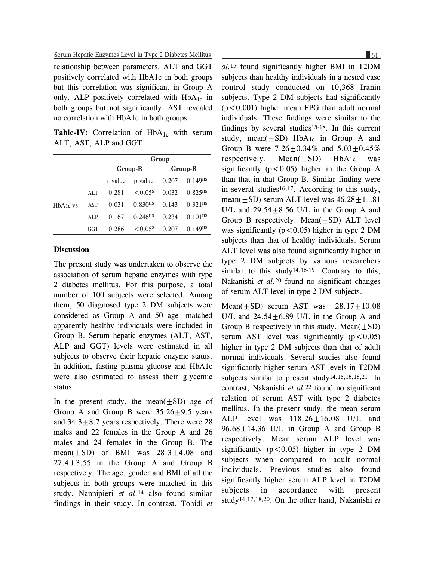Serum Hepatic Enzymes Level in Type 2 Diabetes Mellitus

relationship between parameters. ALT and GGT positively correlated with HbA1c in both groups but this correlation was significant in Group A only. ALP positively correlated with HbA<sub>1c</sub> in both groups but not significantly. AST revealed no correlation with HbA1c in both groups.

**Table-IV:** Correlation of  $HbA_{1c}$  with serum ALT, AST, ALP and GGT

|                                                 |     | Group   |                       |         |                         |
|-------------------------------------------------|-----|---------|-----------------------|---------|-------------------------|
|                                                 |     | Group-B |                       | Group-B |                         |
|                                                 |     | r value | p value               | 0.207   | $0.149^{n\overline{s}}$ |
| H <sub>b</sub> A <sub>1c</sub> v <sub>s</sub> . | ALT | 0.281   | $< 0.05$ <sup>s</sup> | 0.032   | $0.825^{ns}$            |
|                                                 | AST | 0.031   | $0.830^{ns}$          | 0.143   | $0.321$ <sup>ns</sup>   |
|                                                 | ALP | 0.167   | $0.246$ <sup>ns</sup> | 0.234   | $0.101$ <sup>ns</sup>   |
|                                                 | GGT | 0.286   | $< 0.05$ <sup>s</sup> | 0.207   | $0.149^{ns}$            |

## **Discussion**

The present study was undertaken to observe the association of serum hepatic enzymes with type 2 diabetes mellitus. For this purpose, a total number of 100 subjects were selected. Among them, 50 diagnosed type 2 DM subjects were considered as Group A and 50 age- matched apparently healthy individuals were included in Group B. Serum hepatic enzymes (ALT, AST, ALP and GGT) levels were estimated in all subjects to observe their hepatic enzyme status. In addition, fasting plasma glucose and HbA1c were also estimated to assess their glycemic status.

In the present study, the mean $(\pm SD)$  age of Group A and Group B were  $35.26 \pm 9.5$  years and  $34.3 \pm 8.7$  years respectively. There were 28 males and 22 females in the Group A and 26 males and 24 females in the Group B. The mean( $\pm$ SD) of BMI was 28.3 $\pm$ 4.08 and  $27.4 \pm 3.55$  in the Group A and Group B respectively. The age, gender and BMI of all the subjects in both groups were matched in this study. Nannipieri *et al.*14 also found similar findings in their study. In contrast, Tohidi *et*

*al.*15 found significantly higher BMI in T2DM subjects than healthy individuals in a nested case control study conducted on 10,368 Iranin subjects. Type 2 DM subjects had significantly  $(p<0.001)$  higher mean FPG than adult normal individuals. These findings were similar to the findings by several studies15-18. In this current study, mean( $\pm$ SD) HbA<sub>1c</sub> in Group A and Group B were  $7.26 \pm 0.34\%$  and  $5.03 \pm 0.45\%$ respectively. Mean $(+SD)$  HbA<sub>1c</sub> was significantly ( $p < 0.05$ ) higher in the Group A than that in that Group B. Similar finding were in several studies<sup>16,17</sup>. According to this study, mean( $\pm$ SD) serum ALT level was  $46.28 \pm 11.81$ U/L and  $29.54 \pm 8.56$  U/L in the Group A and Group B respectively. Mean $(\pm SD)$  ALT level was significantly ( $p < 0.05$ ) higher in type 2 DM subjects than that of healthy individuals. Serum ALT level was also found significantly higher in type 2 DM subjects by various researchers similar to this study14,16-19. Contrary to this, Nakanishi *et al.*20 found no significant changes of serum ALT level in type 2 DM subjects.

Mean( $\pm$ SD) serum AST was 28.17 $\pm$ 10.08 U/L and  $24.54 \pm 6.89$  U/L in the Group A and Group B respectively in this study. Mean $(\pm SD)$ serum AST level was significantly  $(p<0.05)$ higher in type 2 DM subjects than that of adult normal individuals. Several studies also found significantly higher serum AST levels in T2DM subjects similar to present study14,15,16,18,21. In contrast, Nakanishi *et al.*22 found no significant relation of serum AST with type 2 diabetes mellitus. In the present study, the mean serum ALP level was  $118.26 \pm 16.08$  U/L and  $96.68 \pm 14.36$  U/L in Group A and Group B respectively. Mean serum ALP level was significantly  $(p<0.05)$  higher in type 2 DM subjects when compared to adult normal individuals. Previous studies also found significantly higher serum ALP level in T2DM subjects in accordance with present study14,17,18,20. On the other hand, Nakanishi *et*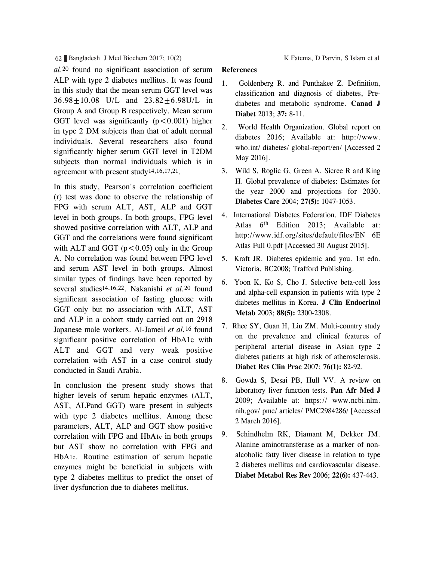62 Bangladesh J Med Biochem 2017; 10(2) K Fatema, D Parvin, S Islam et al

*al.*20 found no significant association of serum ALP with type 2 diabetes mellitus. It was found in this study that the mean serum GGT level was 36.98±10.08 U/L and 23.82±6.98U/L in Group A and Group B respectively. Mean serum GGT level was significantly  $(p < 0.001)$  higher in type 2 DM subjects than that of adult normal individuals. Several researchers also found significantly higher serum GGT level in T2DM subjects than normal individuals which is in agreement with present study14,16,17,21.

In this study, Pearson's correlation coefficient (r) test was done to observe the relationship of FPG with serum ALT, AST, ALP and GGT level in both groups. In both groups, FPG level showed positive correlation with ALT, ALP and GGT and the correlations were found significant with ALT and GGT  $(p<0.05)$  only in the Group A. No correlation was found between FPG level and serum AST level in both groups. Almost similar types of findings have been reported by several studies14,16,22. Nakanishi *et al.*20 found significant association of fasting glucose with GGT only but no association with ALT, AST and ALP in a cohort study carried out on 2918 Japanese male workers. Al-Jameil *et al.*16 found significant positive correlation of HbA1c with ALT and GGT and very weak positive correlation with AST in a case control study conducted in Saudi Arabia.

In conclusion the present study shows that higher levels of serum hepatic enzymes (ALT, AST, ALPand GGT) ware present in subjects with type 2 diabetes mellitus. Among these parameters, ALT, ALP and GGT show positive correlation with FPG and HbA1c in both groups but AST show no correlation with FPG and HbA1c. Routine estimation of serum hepatic enzymes might be beneficial in subjects with type 2 diabetes mellitus to predict the onset of liver dysfunction due to diabetes mellitus.

#### **References**

- 1. Goldenberg R. and Punthakee Z. Definition, classification and diagnosis of diabetes, Prediabetes and metabolic syndrome. **Canad J Diabet** 2013; **37:** 8-11.
- 2. World Health Organization. Global report on diabetes 2016; Available at: http://www. who.int/ diabetes/ global-report/en/ [Accessed 2 May 2016].
- 3. Wild S, Roglic G, Green A, Sicree R and King H. Global prevalence of diabetes: Estimates for the year 2000 and projections for 2030. **Diabetes Care** 2004; **27(5):** 1047-1053.
- 4. International Diabetes Federation. IDF Diabetes Atlas 6<sup>th</sup> Edition 2013; Available at: http://www.idf.org/sites/default/files/EN 6E Atlas Full 0.pdf [Accessed 30 August 2015].
- 5. Kraft JR. Diabetes epidemic and you. 1st edn. Victoria, BC2008; Trafford Publishing.
- 6. Yoon K, Ko S, Cho J. Selective beta-cell loss and alpha-cell expansion in patients with type 2 diabetes mellitus in Korea. **J Clin Endocrinol Metab** 2003; **88(5):** 2300-2308.
- 7. Rhee SY, Guan H, Liu ZM. Multi-country study on the prevalence and clinical features of peripheral arterial disease in Asian type 2 diabetes patients at high risk of atherosclerosis. **Diabet Res Clin Prac** 2007; **76(1):** 82-92.
- 8. Gowda S, Desai PB, Hull VV. A review on laboratory liver function tests. **Pan Afr Med J** 2009; Available at: https:// www.ncbi.nlm. nih.gov/ pmc/ articles/ PMC2984286/ [Accessed 2 March 2016].
- 9. Schindhelm RK, Diamant M, Dekker JM. Alanine aminotransferase as a marker of nonalcoholic fatty liver disease in relation to type 2 diabetes mellitus and cardiovascular disease. **Diabet Metabol Res Rev** 2006; **22(6):** 437-443.